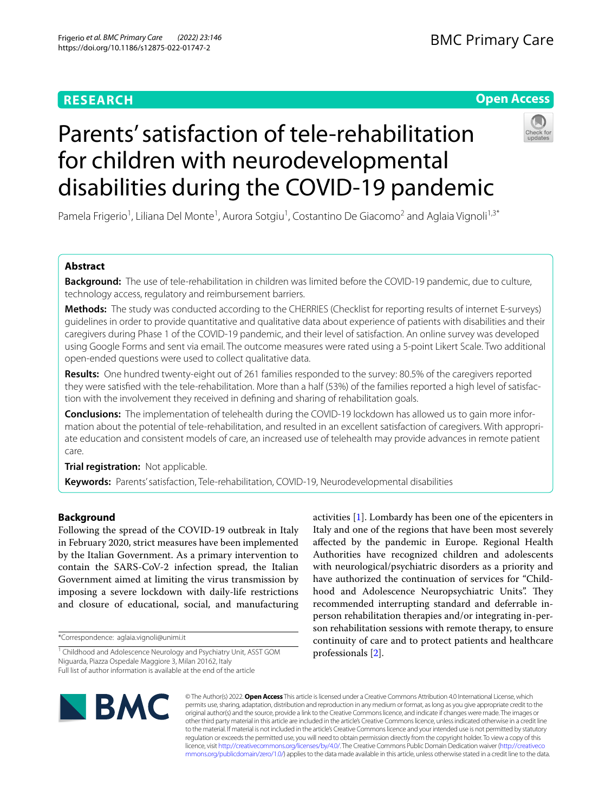# **RESEARCH**

# **Open Access**



# Parents' satisfaction of tele-rehabilitation for children with neurodevelopmental disabilities during the COVID-19 pandemic

Pamela Frigerio<sup>1</sup>, Liliana Del Monte<sup>1</sup>, Aurora Sotgiu<sup>1</sup>, Costantino De Giacomo<sup>2</sup> and Aglaia Vignoli<sup>1,3\*</sup>

# **Abstract**

**Background:** The use of tele-rehabilitation in children was limited before the COVID-19 pandemic, due to culture, technology access, regulatory and reimbursement barriers.

**Methods:** The study was conducted according to the CHERRIES (Checklist for reporting results of internet E-surveys) guidelines in order to provide quantitative and qualitative data about experience of patients with disabilities and their caregivers during Phase 1 of the COVID-19 pandemic, and their level of satisfaction. An online survey was developed using Google Forms and sent via email. The outcome measures were rated using a 5-point Likert Scale. Two additional open-ended questions were used to collect qualitative data.

**Results:** One hundred twenty-eight out of 261 families responded to the survey: 80.5% of the caregivers reported they were satisfed with the tele-rehabilitation. More than a half (53%) of the families reported a high level of satisfaction with the involvement they received in defning and sharing of rehabilitation goals.

**Conclusions:** The implementation of telehealth during the COVID-19 lockdown has allowed us to gain more information about the potential of tele-rehabilitation, and resulted in an excellent satisfaction of caregivers. With appropriate education and consistent models of care, an increased use of telehealth may provide advances in remote patient care.

**Trial registration:** Not applicable.

**Keywords:** Parents' satisfaction, Tele-rehabilitation, COVID-19, Neurodevelopmental disabilities

# **Background**

Following the spread of the COVID-19 outbreak in Italy in February 2020, strict measures have been implemented by the Italian Government. As a primary intervention to contain the SARS-CoV-2 infection spread, the Italian Government aimed at limiting the virus transmission by imposing a severe lockdown with daily-life restrictions and closure of educational, social, and manufacturing

\*Correspondence: aglaia.vignoli@unimi.it

activities [[1\]](#page-8-0). Lombardy has been one of the epicenters in Italy and one of the regions that have been most severely afected by the pandemic in Europe. Regional Health Authorities have recognized children and adolescents with neurological/psychiatric disorders as a priority and have authorized the continuation of services for "Childhood and Adolescence Neuropsychiatric Units". They recommended interrupting standard and deferrable inperson rehabilitation therapies and/or integrating in-person rehabilitation sessions with remote therapy, to ensure continuity of care and to protect patients and healthcare professionals [\[2](#page-8-1)].



© The Author(s) 2022. **Open Access** This article is licensed under a Creative Commons Attribution 4.0 International License, which permits use, sharing, adaptation, distribution and reproduction in any medium or format, as long as you give appropriate credit to the original author(s) and the source, provide a link to the Creative Commons licence, and indicate if changes were made. The images or other third party material in this article are included in the article's Creative Commons licence, unless indicated otherwise in a credit line to the material. If material is not included in the article's Creative Commons licence and your intended use is not permitted by statutory regulation or exceeds the permitted use, you will need to obtain permission directly from the copyright holder. To view a copy of this licence, visit [http://creativecommons.org/licenses/by/4.0/.](http://creativecommons.org/licenses/by/4.0/) The Creative Commons Public Domain Dedication waiver ([http://creativeco](http://creativecommons.org/publicdomain/zero/1.0/) [mmons.org/publicdomain/zero/1.0/](http://creativecommons.org/publicdomain/zero/1.0/)) applies to the data made available in this article, unless otherwise stated in a credit line to the data.

<sup>&</sup>lt;sup>1</sup> Childhood and Adolescence Neurology and Psychiatry Unit, ASST GOM Niguarda, Piazza Ospedale Maggiore 3, Milan 20162, Italy Full list of author information is available at the end of the article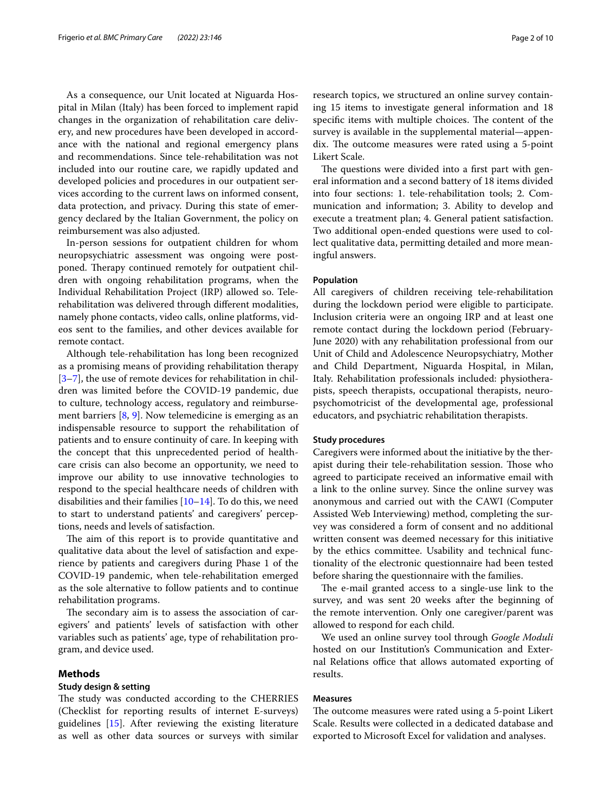As a consequence, our Unit located at Niguarda Hospital in Milan (Italy) has been forced to implement rapid changes in the organization of rehabilitation care delivery, and new procedures have been developed in accordance with the national and regional emergency plans and recommendations. Since tele-rehabilitation was not included into our routine care, we rapidly updated and developed policies and procedures in our outpatient services according to the current laws on informed consent, data protection, and privacy. During this state of emergency declared by the Italian Government, the policy on reimbursement was also adjusted.

In-person sessions for outpatient children for whom neuropsychiatric assessment was ongoing were postponed. Therapy continued remotely for outpatient children with ongoing rehabilitation programs, when the Individual Rehabilitation Project (IRP) allowed so. Telerehabilitation was delivered through diferent modalities, namely phone contacts, video calls, online platforms, videos sent to the families, and other devices available for remote contact.

Although tele-rehabilitation has long been recognized as a promising means of providing rehabilitation therapy [[3–](#page-8-2)[7\]](#page-8-3), the use of remote devices for rehabilitation in children was limited before the COVID-19 pandemic, due to culture, technology access, regulatory and reimbursement barriers [[8,](#page-8-4) [9\]](#page-8-5). Now telemedicine is emerging as an indispensable resource to support the rehabilitation of patients and to ensure continuity of care. In keeping with the concept that this unprecedented period of healthcare crisis can also become an opportunity, we need to improve our ability to use innovative technologies to respond to the special healthcare needs of children with disabilities and their families [\[10](#page-8-6)[–14](#page-8-7)]. To do this, we need to start to understand patients' and caregivers' perceptions, needs and levels of satisfaction.

The aim of this report is to provide quantitative and qualitative data about the level of satisfaction and experience by patients and caregivers during Phase 1 of the COVID-19 pandemic, when tele-rehabilitation emerged as the sole alternative to follow patients and to continue rehabilitation programs.

The secondary aim is to assess the association of caregivers' and patients' levels of satisfaction with other variables such as patients' age, type of rehabilitation program, and device used.

# **Methods**

# **Study design & setting**

The study was conducted according to the CHERRIES (Checklist for reporting results of internet E-surveys) guidelines [\[15](#page-9-0)]. After reviewing the existing literature as well as other data sources or surveys with similar research topics, we structured an online survey containing 15 items to investigate general information and 18 specific items with multiple choices. The content of the survey is available in the supplemental material—appendix. The outcome measures were rated using a 5-point Likert Scale.

The questions were divided into a first part with general information and a second battery of 18 items divided into four sections: 1. tele-rehabilitation tools; 2. Communication and information; 3. Ability to develop and execute a treatment plan; 4. General patient satisfaction. Two additional open-ended questions were used to collect qualitative data, permitting detailed and more meaningful answers.

#### <span id="page-1-0"></span>**Population**

All caregivers of children receiving tele-rehabilitation during the lockdown period were eligible to participate. Inclusion criteria were an ongoing IRP and at least one remote contact during the lockdown period (February-June 2020) with any rehabilitation professional from our Unit of Child and Adolescence Neuropsychiatry, Mother and Child Department, Niguarda Hospital, in Milan, Italy. Rehabilitation professionals included: physiotherapists, speech therapists, occupational therapists, neuropsychomotricist of the developmental age, professional educators, and psychiatric rehabilitation therapists.

# **Study procedures**

Caregivers were informed about the initiative by the therapist during their tele-rehabilitation session. Those who agreed to participate received an informative email with a link to the online survey. Since the online survey was anonymous and carried out with the CAWI (Computer Assisted Web Interviewing) method, completing the survey was considered a form of consent and no additional written consent was deemed necessary for this initiative by the ethics committee. Usability and technical functionality of the electronic questionnaire had been tested before sharing the questionnaire with the families.

The e-mail granted access to a single-use link to the survey, and was sent 20 weeks after the beginning of the remote intervention. Only one caregiver/parent was allowed to respond for each child.

We used an online survey tool through *Google Moduli* hosted on our Institution's Communication and External Relations office that allows automated exporting of results.

# **Measures**

The outcome measures were rated using a 5-point Likert Scale. Results were collected in a dedicated database and exported to Microsoft Excel for validation and analyses.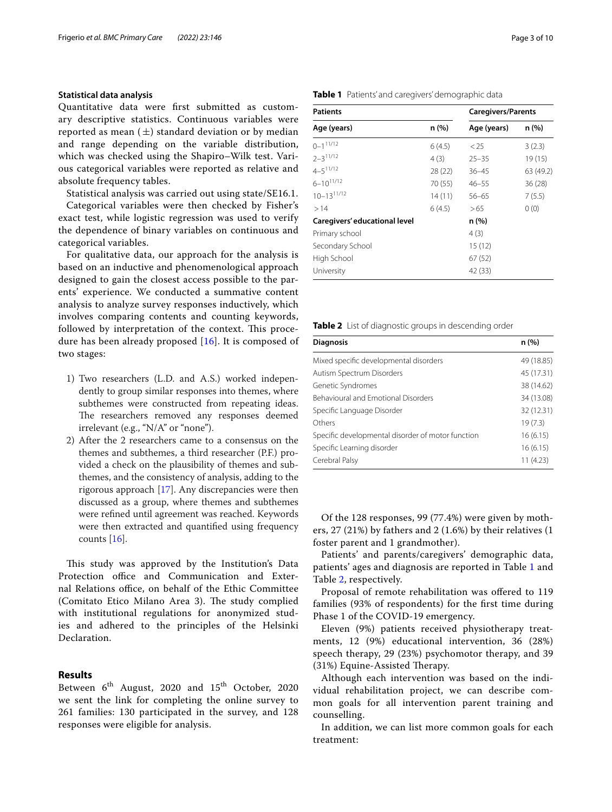# **Statistical data analysis**

Quantitative data were frst submitted as customary descriptive statistics. Continuous variables were reported as mean  $(\pm)$  standard deviation or by median and range depending on the variable distribution, which was checked using the Shapiro–Wilk test. Various categorical variables were reported as relative and absolute frequency tables.

Statistical analysis was carried out using state/SE16.1.

Categorical variables were then checked by Fisher's exact test, while logistic regression was used to verify the dependence of binary variables on continuous and categorical variables.

For qualitative data, our approach for the analysis is based on an inductive and phenomenological approach designed to gain the closest access possible to the parents' experience. We conducted a summative content analysis to analyze survey responses inductively, which involves comparing contents and counting keywords, followed by interpretation of the context. This procedure has been already proposed [\[16\]](#page-9-1). It is composed of two stages:

- 1) Two researchers (L.D. and A.S.) worked independently to group similar responses into themes, where subthemes were constructed from repeating ideas. The researchers removed any responses deemed irrelevant (e.g., "N/A" or "none").
- 2) After the 2 researchers came to a consensus on the themes and subthemes, a third researcher (P.F.) provided a check on the plausibility of themes and subthemes, and the consistency of analysis, adding to the rigorous approach [\[17](#page-9-2)]. Any discrepancies were then discussed as a group, where themes and subthemes were refned until agreement was reached. Keywords were then extracted and quantifed using frequency counts [\[16\]](#page-9-1).

This study was approved by the Institution's Data Protection office and Communication and External Relations office, on behalf of the Ethic Committee (Comitato Etico Milano Area 3). The study complied with institutional regulations for anonymized studies and adhered to the principles of the Helsinki Declaration.

# **Results**

Between 6<sup>th</sup> August, 2020 and 15<sup>th</sup> October, 2020 we sent the link for completing the online survey to 261 families: 130 participated in the survey, and 128 responses were eligible for analysis.

| <b>Patients</b> | <b>Caregivers/Parents</b> |             |        |  |
|-----------------|---------------------------|-------------|--------|--|
| Age (years)     | n(%)                      | Age (years) | n (%   |  |
| $0 - 1^{11/12}$ | 6(4.5)                    | < 25        | 3(2.3) |  |
| $2 - 3^{11/12}$ | 4(3)                      | $25 - 35$   | 19(1)  |  |
| $4 - 5^{11/12}$ | 28(22)                    | 36–45       | 63 (4  |  |

# <span id="page-2-0"></span>**Table 1** Patients' and caregivers' demographic data

| Age (years)                   | n(%)    | Age (years) | n (%)     |
|-------------------------------|---------|-------------|-----------|
| $0 - 1$ <sup>11/12</sup>      | 6(4.5)  | < 25        | 3(2.3)    |
| $2 - 3^{11/12}$               | 4(3)    | $25 - 35$   | 19(15)    |
| $4 - 5^{11/12}$               | 28(22)  | $36 - 45$   | 63 (49.2) |
| $6 - 10^{11/12}$              | 70 (55) | $46 - 55$   | 36(28)    |
| $10 - 13^{11/12}$             | 14(11)  | $56 - 65$   | 7(5.5)    |
| >14                           | 6(4.5)  | >65         | 0(0)      |
| Caregivers' educational level |         | n (%)       |           |
| Primary school                |         | 4(3)        |           |
| Secondary School              |         | 15(12)      |           |
| High School                   |         | 67(52)      |           |
| University                    |         | 42 (33)     |           |
|                               |         |             |           |

#### <span id="page-2-1"></span>**Table 2** List of diagnostic groups in descending order

| <b>Diagnosis</b>                                  | n (%)<br>49 (18.85) |  |
|---------------------------------------------------|---------------------|--|
| Mixed specific developmental disorders            |                     |  |
| Autism Spectrum Disorders                         | 45 (17.31)          |  |
| Genetic Syndromes                                 | 38 (14.62)          |  |
| <b>Behavioural and Emotional Disorders</b>        | 34 (13.08)          |  |
| Specific Language Disorder                        | 32 (12.31)          |  |
| Others                                            | 19(7.3)             |  |
| Specific developmental disorder of motor function | 16(6.15)            |  |
| Specific Learning disorder                        | 16(6.15)            |  |
| Cerebral Palsy                                    | 11 (4.23)           |  |

Of the 128 responses, 99 (77.4%) were given by mothers, 27 (21%) by fathers and 2 (1.6%) by their relatives (1 foster parent and 1 grandmother).

Patients' and parents/caregivers' demographic data, patients' ages and diagnosis are reported in Table [1](#page-2-0) and Table [2](#page-2-1), respectively.

Proposal of remote rehabilitation was ofered to 119 families (93% of respondents) for the frst time during Phase 1 of the COVID-19 emergency.

Eleven (9%) patients received physiotherapy treatments, 12 (9%) educational intervention, 36 (28%) speech therapy, 29 (23%) psychomotor therapy, and 39 (31%) Equine-Assisted Therapy.

Although each intervention was based on the individual rehabilitation project, we can describe common goals for all intervention parent training and counselling.

In addition, we can list more common goals for each treatment: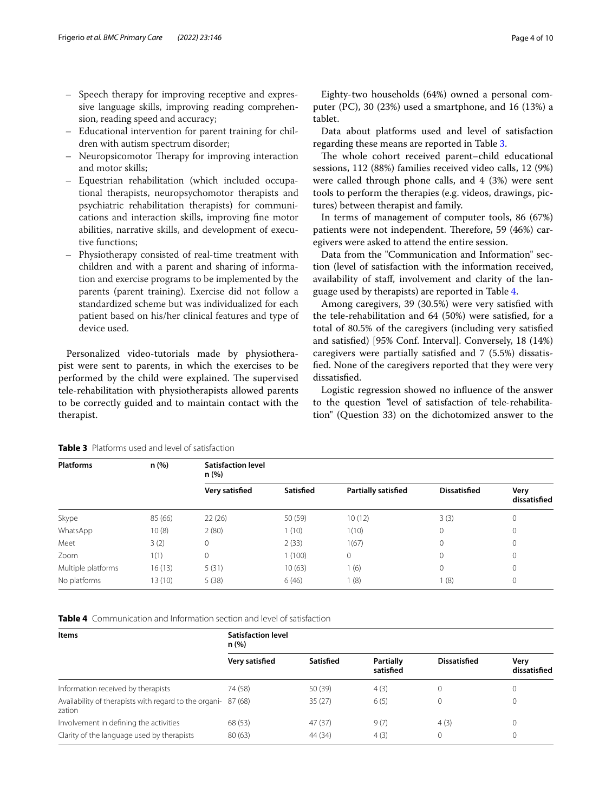- Speech therapy for improving receptive and expressive language skills, improving reading comprehension, reading speed and accuracy;
- Educational intervention for parent training for children with autism spectrum disorder;
- Neuropsicomotor Therapy for improving interaction and motor skills;
- Equestrian rehabilitation (which included occupational therapists, neuropsychomotor therapists and psychiatric rehabilitation therapists) for communications and interaction skills, improving fne motor abilities, narrative skills, and development of executive functions;
- Physiotherapy consisted of real-time treatment with children and with a parent and sharing of information and exercise programs to be implemented by the parents (parent training). Exercise did not follow a standardized scheme but was individualized for each patient based on his/her clinical features and type of device used.

Personalized video-tutorials made by physiotherapist were sent to parents, in which the exercises to be performed by the child were explained. The supervised tele-rehabilitation with physiotherapists allowed parents to be correctly guided and to maintain contact with the therapist.

Eighty-two households (64%) owned a personal computer (PC), 30 (23%) used a smartphone, and 16 (13%) a tablet.

Data about platforms used and level of satisfaction regarding these means are reported in Table [3](#page-3-0).

The whole cohort received parent-child educational sessions, 112 (88%) families received video calls, 12 (9%) were called through phone calls, and 4 (3%) were sent tools to perform the therapies (e.g. videos, drawings, pictures) between therapist and family.

In terms of management of computer tools, 86 (67%) patients were not independent. Therefore, 59 (46%) caregivers were asked to attend the entire session.

Data from the "Communication and Information" section (level of satisfaction with the information received, availability of staf, involvement and clarity of the language used by therapists) are reported in Table [4](#page-3-1).

Among caregivers, 39 (30.5%) were very satisfed with the tele-rehabilitation and 64 (50%) were satisfed, for a total of 80.5% of the caregivers (including very satisfed and satisfed) [95% Conf. Interval]. Conversely, 18 (14%) caregivers were partially satisfed and 7 (5.5%) dissatisfed. None of the caregivers reported that they were very dissatisfed.

Logistic regression showed no infuence of the answer to the question *"*level of satisfaction of tele-rehabilitation" (Question 33) on the dichotomized answer to the

| <b>Platforms</b>   | n (%)   | <b>Satisfaction level</b><br>n (%) |           |                            |                     |                      |  |
|--------------------|---------|------------------------------------|-----------|----------------------------|---------------------|----------------------|--|
|                    |         | Very satisfied                     | Satisfied | <b>Partially satisfied</b> | <b>Dissatisfied</b> | Very<br>dissatisfied |  |
| Skype              | 85 (66) | 22(26)                             | 50 (59)   | 10(12)                     | 3(3)                | $\Omega$             |  |
| WhatsApp           | 10(8)   | 2(80)                              | 1(10)     | 1(10)                      | 0                   | $\Omega$             |  |
| Meet               | 3(2)    | 0                                  | 2(33)     | 1(67)                      | 0                   | $\Omega$             |  |
| Zoom               | 1(1)    | 0                                  | 1(100)    | 0                          | 0                   | $\Omega$             |  |
| Multiple platforms | 16(13)  | 5(31)                              | 10(63)    | 1(6)                       | 0                   | $\Omega$             |  |
| No platforms       | 13 (10) | 5(38)                              | 6(46)     | 1(8)                       | 1(8)                | 0                    |  |

# <span id="page-3-0"></span>**Table 3** Platforms used and level of satisfaction

<span id="page-3-1"></span>**Table 4** Communication and Information section and level of satisfaction

| <b>Items</b>                                                            | <b>Satisfaction level</b><br>n(%) |           |                               |                     |                      |  |
|-------------------------------------------------------------------------|-----------------------------------|-----------|-------------------------------|---------------------|----------------------|--|
|                                                                         | Very satisfied                    | Satisfied | <b>Partially</b><br>satisfied | <b>Dissatisfied</b> | Verv<br>dissatisfied |  |
| Information received by therapists                                      | 74 (58)                           | 50 (39)   | 4(3)                          | 0                   |                      |  |
| Availability of therapists with regard to the organi- 87 (68)<br>zation |                                   | 35(27)    | 6(5)                          | $\Omega$            |                      |  |
| Involvement in defining the activities                                  | 68 (53)                           | 47(37)    | 9(7)                          | 4(3)                |                      |  |
| Clarity of the language used by therapists                              | 80(63)                            | 44 (34)   | 4(3)                          | $\Omega$            |                      |  |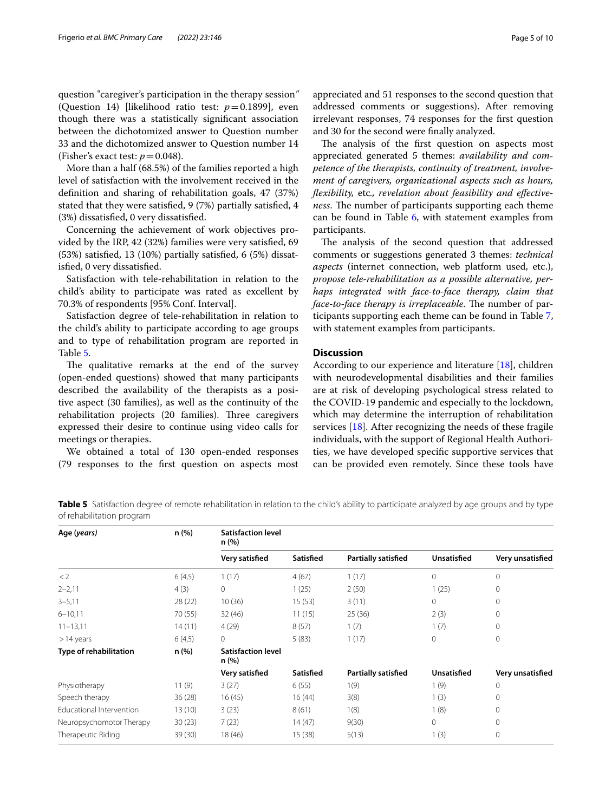question "caregiver's participation in the therapy session*"* (Question 14) [likelihood ratio test:  $p=0.1899$ ], even though there was a statistically signifcant association between the dichotomized answer to Question number 33 and the dichotomized answer to Question number 14 (Fisher's exact test:  $p = 0.048$ ).

More than a half (68.5%) of the families reported a high level of satisfaction with the involvement received in the defnition and sharing of rehabilitation goals, 47 (37%) stated that they were satisfed, 9 (7%) partially satisfed, 4 (3%) dissatisfed, 0 very dissatisfed.

Concerning the achievement of work objectives provided by the IRP, 42 (32%) families were very satisfed, 69 (53%) satisfed, 13 (10%) partially satisfed, 6 (5%) dissatisfed, 0 very dissatisfed.

Satisfaction with tele-rehabilitation in relation to the child's ability to participate was rated as excellent by 70.3% of respondents [95% Conf. Interval].

Satisfaction degree of tele-rehabilitation in relation to the child's ability to participate according to age groups and to type of rehabilitation program are reported in Table [5](#page-4-0).

The qualitative remarks at the end of the survey (open-ended questions) showed that many participants described the availability of the therapists as a positive aspect (30 families), as well as the continuity of the rehabilitation projects (20 families). Three caregivers expressed their desire to continue using video calls for meetings or therapies.

We obtained a total of 130 open-ended responses (79 responses to the frst question on aspects most appreciated and 51 responses to the second question that addressed comments or suggestions). After removing irrelevant responses, 74 responses for the frst question and 30 for the second were fnally analyzed.

The analysis of the first question on aspects most appreciated generated 5 themes: *availability and competence of the therapists, continuity of treatment, involvement of caregivers, organizational aspects such as hours, fexibility,* etc*., revelation about feasibility and efectiveness*. The number of participants supporting each theme can be found in Table [6,](#page-5-0) with statement examples from participants.

The analysis of the second question that addressed comments or suggestions generated 3 themes: *technical aspects* (internet connection, web platform used, etc.), *propose tele-rehabilitation as a possible alternative, perhaps integrated with face-to-face therapy, claim that face-to-face therapy is irreplaceable*. The number of participants supporting each theme can be found in Table [7](#page-5-1), with statement examples from participants.

# **Discussion**

According to our experience and literature [[18](#page-9-3)], children with neurodevelopmental disabilities and their families are at risk of developing psychological stress related to the COVID-19 pandemic and especially to the lockdown, which may determine the interruption of rehabilitation services [[18\]](#page-9-3). After recognizing the needs of these fragile individuals, with the support of Regional Health Authorities, we have developed specifc supportive services that can be provided even remotely. Since these tools have

<span id="page-4-0"></span>**Table 5** Satisfaction degree of remote rehabilitation in relation to the child's ability to participate analyzed by age groups and by type of rehabilitation program

| Age (years)                   | n (%)   | <b>Satisfaction level</b><br>n (%) |                  |                            |                    |                  |  |
|-------------------------------|---------|------------------------------------|------------------|----------------------------|--------------------|------------------|--|
|                               |         | Very satisfied                     | Satisfied        | <b>Partially satisfied</b> | <b>Unsatisfied</b> | Very unsatisfied |  |
| $\langle 2$                   | 6(4,5)  | 1(17)                              | 4(67)            | 1(17)                      | $\Omega$           | $\mathbf{0}$     |  |
| $2 - 2,11$                    | 4(3)    | $\circ$                            | 1(25)            | 2(50)                      | 1(25)              | $\mathbf 0$      |  |
| $3 - 5,11$                    | 28 (22) | 10(36)                             | 15(53)           | 3(11)                      | 0                  | $\mathbf 0$      |  |
| $6 - 10, 11$                  | 70 (55) | 32(46)                             | 11(15)           | 25(36)                     | 2(3)               | $\mathbf{0}$     |  |
| $11 - 13,11$                  | 14(11)  | 4(29)                              | 8(57)            | 1(7)                       | 1(7)               | $\mathbf{0}$     |  |
| >14 years                     | 6(4,5)  | $\Omega$                           | 5(83)            | 1(17)                      | 0                  | $\mathbf{0}$     |  |
| <b>Type of rehabilitation</b> | n (%)   | <b>Satisfaction level</b><br>n (%) |                  |                            |                    |                  |  |
|                               |         | Very satisfied                     | <b>Satisfied</b> | <b>Partially satisfied</b> | <b>Unsatisfied</b> | Very unsatisfied |  |
| Physiotherapy                 | 11(9)   | 3(27)                              | 6(55)            | 1(9)                       | 1(9)               | $\mathbf{0}$     |  |
| Speech therapy                | 36(28)  | 16(45)                             | 16(44)           | 3(8)                       | 1(3)               | $\mathbf{0}$     |  |
| Educational Intervention      | 13(10)  | 3(23)                              | 8(61)            | 1(8)                       | 1(8)               | 0                |  |
| Neuropsychomotor Therapy      | 30(23)  | 7(23)                              | 14(47)           | 9(30)                      | 0                  | 0                |  |
| Therapeutic Riding            | 39 (30) | 18 (46)                            | 15(38)           | 5(13)                      | 1(3)               | 0                |  |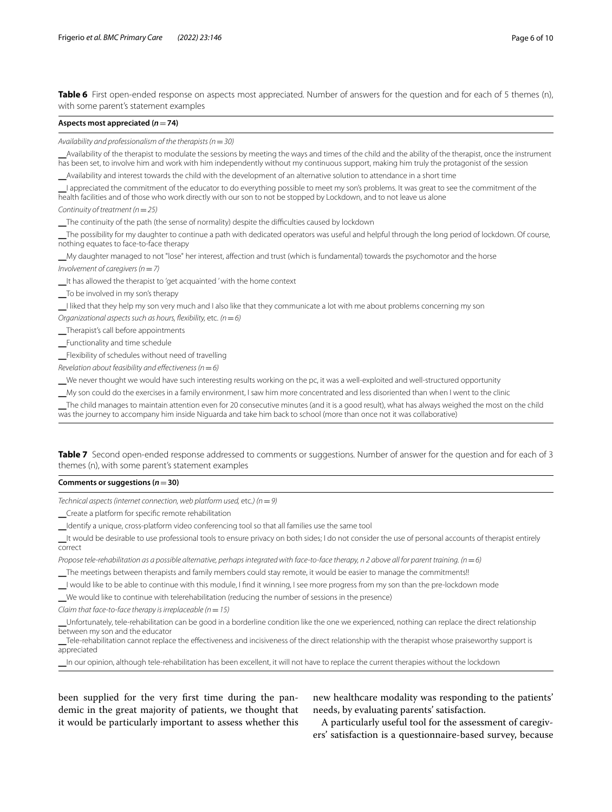<span id="page-5-0"></span>**Table 6** First open-ended response on aspects most appreciated. Number of answers for the question and for each of 5 themes (n), with some parent's statement examples

# **Aspects most appreciated (***n*=**74)**

*Availability and professionalism of the therapists (n*=*30)*

Availability of the therapist to modulate the sessions by meeting the ways and times of the child and the ability of the therapist, once the instrument has been set, to involve him and work with him independently without my continuous support, making him truly the protagonist of the session

Availability and interest towards the child with the development of an alternative solution to attendance in a short time

⎯I appreciated the commitment of the educator to do everything possible to meet my son's problems. It was great to see the commitment of the health facilities and of those who work directly with our son to not be stopped by Lockdown, and to not leave us alone

*Continuity of treatment (n*=*25)*

⎯The continuity of the path (the sense of normality) despite the difculties caused by lockdown

⎯The possibility for my daughter to continue a path with dedicated operators was useful and helpful through the long period of lockdown. Of course, nothing equates to face-to-face therapy

⎯My daughter managed to not "lose" her interest, afection and trust (which is fundamental) towards the psychomotor and the horse

*Involvement of caregivers (n*=*7)*

LIt has allowed the therapist to 'get acquainted ' with the home context

⎯To be involved in my son's therapy

⎯I liked that they help my son very much and I also like that they communicate a lot with me about problems concerning my son

*Organizational aspects such as hours, fexibility,* etc*. (n*=*6)*

⎯Therapist's call before appointments

⎯Functionality and time schedule

Flexibility of schedules without need of travelling

*Revelation about feasibility and efectiveness (n*=*6)*

⎯We never thought we would have such interesting results working on the pc, it was a well-exploited and well-structured opportunity

⎯My son could do the exercises in a family environment, I saw him more concentrated and less disoriented than when I went to the clinic

⎯The child manages to maintain attention even for 20 consecutive minutes (and it is a good result), what has always weighed the most on the child was the journey to accompany him inside Niguarda and take him back to school (more than once not it was collaborative)

<span id="page-5-1"></span>**Table 7** Second open-ended response addressed to comments or suggestions. Number of answer for the question and for each of 3 themes (n), with some parent's statement examples

#### **Comments or suggestions (***n*=**30)**

*Technical aspects (internet connection, web platform used,* etc*.) (n*=*9)*

\_Create a platform for specific remote rehabilitation

LIdentify a unique, cross-platform video conferencing tool so that all families use the same tool

⎯It would be desirable to use professional tools to ensure privacy on both sides; I do not consider the use of personal accounts of therapist entirely correct

*Propose tele-rehabilitation as a possible alternative, perhaps integrated with face-to-face therapy, n 2 above all for parent training. (n*=6)

The meetings between therapists and family members could stay remote, it would be easier to manage the commitments!!

⎯I would like to be able to continue with this module, I fnd it winning, I see more progress from my son than the pre-lockdown mode

⎯We would like to continue with telerehabilitation (reducing the number of sessions in the presence)

*Claim that face-to-face therapy is irreplaceable (n = 15)* 

⎯Unfortunately, tele-rehabilitation can be good in a borderline condition like the one we experienced, nothing can replace the direct relationship between my son and the educator

Tele-rehabilitation cannot replace the effectiveness and incisiveness of the direct relationship with the therapist whose praiseworthy support is appreciated

In our opinion, although tele-rehabilitation has been excellent, it will not have to replace the current therapies without the lockdown

been supplied for the very frst time during the pandemic in the great majority of patients, we thought that it would be particularly important to assess whether this

new healthcare modality was responding to the patients' needs, by evaluating parents' satisfaction.

A particularly useful tool for the assessment of caregivers' satisfaction is a questionnaire-based survey, because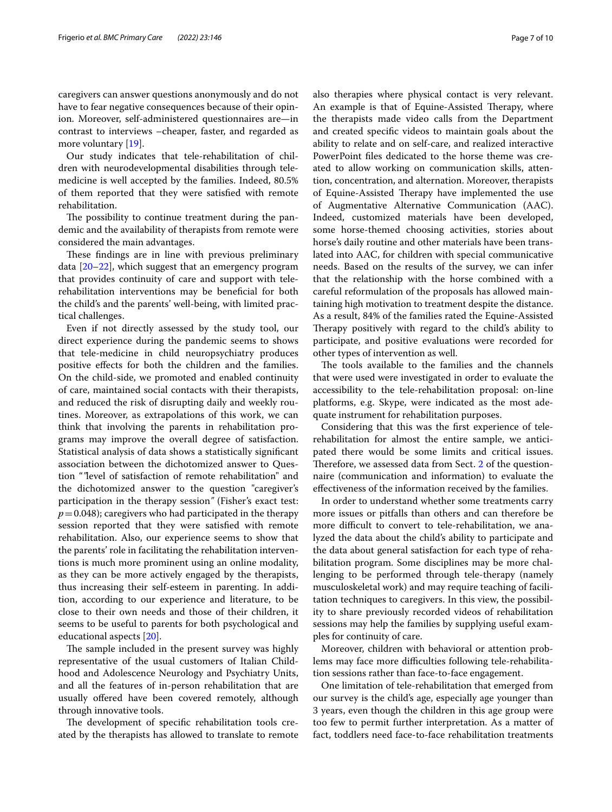caregivers can answer questions anonymously and do not have to fear negative consequences because of their opinion. Moreover, self-administered questionnaires are—in contrast to interviews –cheaper, faster, and regarded as more voluntary [\[19](#page-9-4)].

Our study indicates that tele-rehabilitation of children with neurodevelopmental disabilities through telemedicine is well accepted by the families. Indeed, 80.5% of them reported that they were satisfed with remote rehabilitation.

The possibility to continue treatment during the pandemic and the availability of therapists from remote were considered the main advantages.

These findings are in line with previous preliminary data [\[20](#page-9-5)[–22\]](#page-9-6), which suggest that an emergency program that provides continuity of care and support with telerehabilitation interventions may be benefcial for both the child's and the parents' well-being, with limited practical challenges.

Even if not directly assessed by the study tool, our direct experience during the pandemic seems to shows that tele-medicine in child neuropsychiatry produces positive efects for both the children and the families. On the child-side, we promoted and enabled continuity of care, maintained social contacts with their therapists, and reduced the risk of disrupting daily and weekly routines. Moreover, as extrapolations of this work, we can think that involving the parents in rehabilitation programs may improve the overall degree of satisfaction. Statistical analysis of data shows a statistically signifcant association between the dichotomized answer to Question "*"*level of satisfaction of remote rehabilitation" and the dichotomized answer to the question "caregiver's participation in the therapy session*"* (Fisher's exact test:  $p=0.048$ ); caregivers who had participated in the therapy session reported that they were satisfed with remote rehabilitation. Also, our experience seems to show that the parents' role in facilitating the rehabilitation interventions is much more prominent using an online modality, as they can be more actively engaged by the therapists, thus increasing their self-esteem in parenting. In addition, according to our experience and literature, to be close to their own needs and those of their children, it seems to be useful to parents for both psychological and educational aspects [\[20\]](#page-9-5).

The sample included in the present survey was highly representative of the usual customers of Italian Childhood and Adolescence Neurology and Psychiatry Units, and all the features of in-person rehabilitation that are usually ofered have been covered remotely, although through innovative tools.

The development of specific rehabilitation tools created by the therapists has allowed to translate to remote also therapies where physical contact is very relevant. An example is that of Equine-Assisted Therapy, where the therapists made video calls from the Department and created specifc videos to maintain goals about the ability to relate and on self-care, and realized interactive PowerPoint fles dedicated to the horse theme was created to allow working on communication skills, attention, concentration, and alternation. Moreover, therapists of Equine-Assisted Therapy have implemented the use of Augmentative Alternative Communication (AAC). Indeed, customized materials have been developed, some horse-themed choosing activities, stories about horse's daily routine and other materials have been translated into AAC, for children with special communicative needs. Based on the results of the survey, we can infer that the relationship with the horse combined with a careful reformulation of the proposals has allowed maintaining high motivation to treatment despite the distance. As a result, 84% of the families rated the Equine-Assisted Therapy positively with regard to the child's ability to

The tools available to the families and the channels that were used were investigated in order to evaluate the accessibility to the tele-rehabilitation proposal: on-line platforms, e.g. Skype, were indicated as the most adequate instrument for rehabilitation purposes.

participate, and positive evaluations were recorded for

other types of intervention as well.

Considering that this was the frst experience of telerehabilitation for almost the entire sample, we anticipated there would be some limits and critical issues. Therefore, we assessed data from Sect.  $2$  of the questionnaire (communication and information) to evaluate the efectiveness of the information received by the families.

In order to understand whether some treatments carry more issues or pitfalls than others and can therefore be more difficult to convert to tele-rehabilitation, we analyzed the data about the child's ability to participate and the data about general satisfaction for each type of rehabilitation program. Some disciplines may be more challenging to be performed through tele-therapy (namely musculoskeletal work) and may require teaching of facilitation techniques to caregivers. In this view, the possibility to share previously recorded videos of rehabilitation sessions may help the families by supplying useful examples for continuity of care.

Moreover, children with behavioral or attention problems may face more difficulties following tele-rehabilitation sessions rather than face-to-face engagement.

One limitation of tele-rehabilitation that emerged from our survey is the child's age, especially age younger than 3 years, even though the children in this age group were too few to permit further interpretation. As a matter of fact, toddlers need face-to-face rehabilitation treatments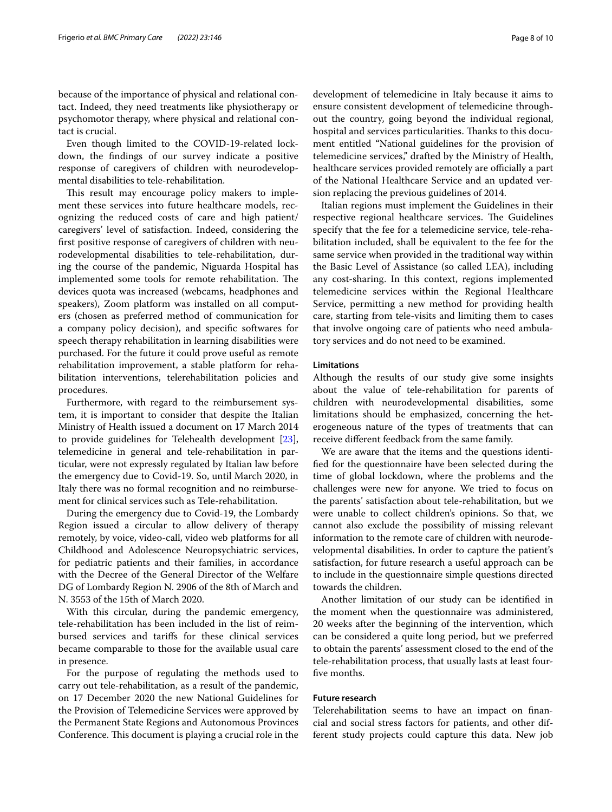because of the importance of physical and relational contact. Indeed, they need treatments like physiotherapy or psychomotor therapy, where physical and relational contact is crucial.

Even though limited to the COVID-19-related lockdown, the fndings of our survey indicate a positive response of caregivers of children with neurodevelopmental disabilities to tele-rehabilitation.

This result may encourage policy makers to implement these services into future healthcare models, recognizing the reduced costs of care and high patient/ caregivers' level of satisfaction. Indeed, considering the frst positive response of caregivers of children with neurodevelopmental disabilities to tele-rehabilitation, during the course of the pandemic, Niguarda Hospital has implemented some tools for remote rehabilitation. The devices quota was increased (webcams, headphones and speakers), Zoom platform was installed on all computers (chosen as preferred method of communication for a company policy decision), and specifc softwares for speech therapy rehabilitation in learning disabilities were purchased. For the future it could prove useful as remote rehabilitation improvement, a stable platform for rehabilitation interventions, telerehabilitation policies and procedures.

Furthermore, with regard to the reimbursement system, it is important to consider that despite the Italian Ministry of Health issued a document on 17 March 2014 to provide guidelines for Telehealth development [\[23](#page-9-7)], telemedicine in general and tele-rehabilitation in particular, were not expressly regulated by Italian law before the emergency due to Covid-19. So, until March 2020, in Italy there was no formal recognition and no reimbursement for clinical services such as Tele-rehabilitation.

During the emergency due to Covid-19, the Lombardy Region issued a circular to allow delivery of therapy remotely, by voice, video-call, video web platforms for all Childhood and Adolescence Neuropsychiatric services, for pediatric patients and their families, in accordance with the Decree of the General Director of the Welfare DG of Lombardy Region N. 2906 of the 8th of March and N. 3553 of the 15th of March 2020.

With this circular, during the pandemic emergency, tele-rehabilitation has been included in the list of reimbursed services and tarifs for these clinical services became comparable to those for the available usual care in presence.

For the purpose of regulating the methods used to carry out tele-rehabilitation, as a result of the pandemic, on 17 December 2020 the new National Guidelines for the Provision of Telemedicine Services were approved by the Permanent State Regions and Autonomous Provinces Conference. This document is playing a crucial role in the development of telemedicine in Italy because it aims to ensure consistent development of telemedicine throughout the country, going beyond the individual regional, hospital and services particularities. Thanks to this document entitled "National guidelines for the provision of telemedicine services," drafted by the Ministry of Health, healthcare services provided remotely are officially a part of the National Healthcare Service and an updated version replacing the previous guidelines of 2014.

Italian regions must implement the Guidelines in their respective regional healthcare services. The Guidelines specify that the fee for a telemedicine service, tele-rehabilitation included, shall be equivalent to the fee for the same service when provided in the traditional way within the Basic Level of Assistance (so called LEA), including any cost-sharing. In this context, regions implemented telemedicine services within the Regional Healthcare Service, permitting a new method for providing health care, starting from tele-visits and limiting them to cases that involve ongoing care of patients who need ambulatory services and do not need to be examined.

# **Limitations**

Although the results of our study give some insights about the value of tele-rehabilitation for parents of children with neurodevelopmental disabilities, some limitations should be emphasized, concerning the heterogeneous nature of the types of treatments that can receive diferent feedback from the same family.

We are aware that the items and the questions identifed for the questionnaire have been selected during the time of global lockdown, where the problems and the challenges were new for anyone. We tried to focus on the parents' satisfaction about tele-rehabilitation, but we were unable to collect children's opinions. So that, we cannot also exclude the possibility of missing relevant information to the remote care of children with neurodevelopmental disabilities. In order to capture the patient's satisfaction, for future research a useful approach can be to include in the questionnaire simple questions directed towards the children.

Another limitation of our study can be identifed in the moment when the questionnaire was administered, 20 weeks after the beginning of the intervention, which can be considered a quite long period, but we preferred to obtain the parents' assessment closed to the end of the tele-rehabilitation process, that usually lasts at least fourfve months.

# **Future research**

Telerehabilitation seems to have an impact on fnancial and social stress factors for patients, and other different study projects could capture this data. New job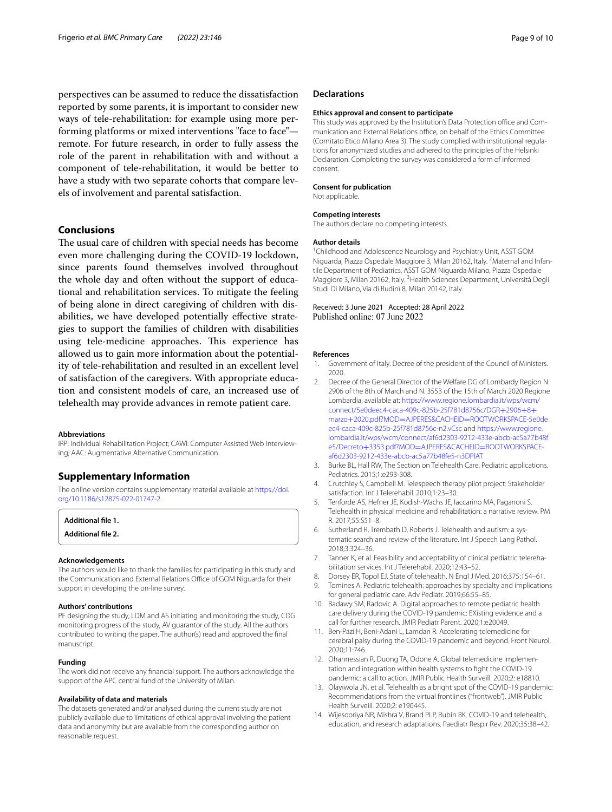perspectives can be assumed to reduce the dissatisfaction reported by some parents, it is important to consider new ways of tele-rehabilitation: for example using more performing platforms or mixed interventions "face to face" remote. For future research, in order to fully assess the role of the parent in rehabilitation with and without a component of tele-rehabilitation, it would be better to have a study with two separate cohorts that compare levels of involvement and parental satisfaction.

# **Conclusions**

The usual care of children with special needs has become even more challenging during the COVID-19 lockdown, since parents found themselves involved throughout the whole day and often without the support of educational and rehabilitation services. To mitigate the feeling of being alone in direct caregiving of children with disabilities, we have developed potentially efective strategies to support the families of children with disabilities using tele-medicine approaches. This experience has allowed us to gain more information about the potentiality of tele-rehabilitation and resulted in an excellent level of satisfaction of the caregivers. With appropriate education and consistent models of care, an increased use of telehealth may provide advances in remote patient care.

#### **Abbreviations**

IRP: Individual Rehabilitation Project; CAWI: Computer Assisted Web Interviewing; AAC: Augmentative Alternative Communication.

# **Supplementary Information**

The online version contains supplementary material available at [https://doi.](https://doi.org/10.1186/s12875-022-01747-2) [org/10.1186/s12875-022-01747-2](https://doi.org/10.1186/s12875-022-01747-2).

```
Additional fle 1.
```
**Additional fle 2.**

#### **Acknowledgements**

The authors would like to thank the families for participating in this study and the Communication and External Relations Office of GOM Niguarda for their support in developing the on-line survey.

#### **Authors' contributions**

PF designing the study, LDM and AS initiating and monitoring the study, CDG monitoring progress of the study, AV guarantor of the study. All the authors contributed to writing the paper. The author(s) read and approved the fnal manuscript.

#### **Funding**

The work did not receive any fnancial support. The authors acknowledge the support of the APC central fund of the University of Milan.

#### **Availability of data and materials**

The datasets generated and/or analysed during the current study are not publicly available due to limitations of ethical approval involving the patient data and anonymity but are available from the corresponding author on reasonable request.

### **Declarations**

#### **Ethics approval and consent to participate**

This study was approved by the Institution's Data Protection office and Communication and External Relations office, on behalf of the Ethics Committee (Comitato Etico Milano Area 3). The study complied with institutional regulations for anonymized studies and adhered to the principles of the Helsinki Declaration. Completing the survey was considered a form of informed consent.

#### **Consent for publication**

Not applicable.

#### **Competing interests**

The authors declare no competing interests.

#### **Author details**

<sup>1</sup> Childhood and Adolescence Neurology and Psychiatry Unit, ASST GOM Niguarda, Piazza Ospedale Maggiore 3, Milan 20162, Italy. <sup>2</sup>Maternal and Infantile Department of Pediatrics, ASST GOM Niguarda Milano, Piazza Ospedale Maggiore 3, Milan 20162, Italy. <sup>3</sup> Health Sciences Department, Università Degli Studi Di Milano, Via di Rudinì 8, Milan 20142, Italy.

Received: 3 June 2021 Accepted: 28 April 2022 Published online: 07 June 2022

#### **References**

- <span id="page-8-0"></span>1. Government of Italy. Decree of the president of the Council of Ministers. 2020.
- <span id="page-8-1"></span>2. Decree of the General Director of the Welfare DG of Lombardy Region N. 2906 of the 8th of March and N. 3553 of the 15th of March 2020 Regione Lombardia, available at: [https://www.regione.lombardia.it/wps/wcm/](https://www.regione.lombardia.it/wps/wcm/connect/5e0deec4-caca-409c-825b-25f781d8756c/DGR+2906+8+marzo+2020.pdf?MOD=AJPERES&CACHEID=ROOTWORKSPACE-5e0deec4-caca-409c-825b-25f781d8756c-n2.vCsc) [connect/5e0deec4-caca-409c-825b-25f781d8756c/DGR](https://www.regione.lombardia.it/wps/wcm/connect/5e0deec4-caca-409c-825b-25f781d8756c/DGR+2906+8+marzo+2020.pdf?MOD=AJPERES&CACHEID=ROOTWORKSPACE-5e0deec4-caca-409c-825b-25f781d8756c-n2.vCsc)+2906+8+ marzo+2020.pdf?MOD=AJPERES&CACHEID=ROOTWORKSPACE-5e0de [ec4-caca-409c-825b-25f781d8756c-n2.vCsc and](https://www.regione.lombardia.it/wps/wcm/connect/5e0deec4-caca-409c-825b-25f781d8756c/DGR+2906+8+marzo+2020.pdf?MOD=AJPERES&CACHEID=ROOTWORKSPACE-5e0deec4-caca-409c-825b-25f781d8756c-n2.vCsc) [https://www.regione.](https://www.regione.lombardia.it/wps/wcm/connect/af6d2303-9212-433e-abcb-ac5a77b48fe5/Decreto+3353.pdf?MOD=AJPERES&CACHEID=ROOTWORKSPACE-af6d2303-9212-433e-abcb-ac5a77b48fe5-n3DPlAT) [lombardia.it/wps/wcm/connect/af6d2303-9212-433e-abcb-ac5a77b48f](https://www.regione.lombardia.it/wps/wcm/connect/af6d2303-9212-433e-abcb-ac5a77b48fe5/Decreto+3353.pdf?MOD=AJPERES&CACHEID=ROOTWORKSPACE-af6d2303-9212-433e-abcb-ac5a77b48fe5-n3DPlAT) e5/Decreto+3353.pdf?MOD=AJPERES&CACHEID=ROOTWORKSPACE[af6d2303-9212-433e-abcb-ac5a77b48fe5-n3DPlAT](https://www.regione.lombardia.it/wps/wcm/connect/af6d2303-9212-433e-abcb-ac5a77b48fe5/Decreto+3353.pdf?MOD=AJPERES&CACHEID=ROOTWORKSPACE-af6d2303-9212-433e-abcb-ac5a77b48fe5-n3DPlAT)
- <span id="page-8-2"></span>3. Burke BL, Hall RW, The Section on Telehealth Care. Pediatric applications. Pediatrics. 2015;1:e293-308.
- 4. Crutchley S, Campbell M. Telespeech therapy pilot project: Stakeholder satisfaction. Int J Telerehabil. 2010;1:23–30.
- 5. Tenforde AS, Hefner JE, Kodish-Wachs JE, Iaccarino MA, Paganoni S. Telehealth in physical medicine and rehabilitation: a narrative review. PM R. 2017;55:S51–8.
- 6. Sutherland R, Trembath D, Roberts J. Telehealth and autism: a systematic search and review of the literature. Int J Speech Lang Pathol. 2018;3:324–36.
- <span id="page-8-3"></span>7. Tanner K, et al. Feasibility and acceptability of clinical pediatric telerehabilitation services. Int J Telerehabil. 2020;12:43–52.
- <span id="page-8-4"></span>8. Dorsey ER, Topol EJ. State of telehealth. N Engl J Med. 2016;375:154–61.
- <span id="page-8-5"></span>9. Tomines A. Pediatric telehealth: approaches by specialty and implications for general pediatric care. Adv Pediatr. 2019;66:55–85.
- <span id="page-8-6"></span>10. Badawy SM, Radovic A. Digital approaches to remote pediatric health care delivery during the COVID-19 pandemic: EXisting evidence and a call for further research. JMIR Pediatr Parent. 2020;1:e20049.
- 11. Ben-Pazi H, Beni-Adani L, Lamdan R. Accelerating telemedicine for cerebral palsy during the COVID-19 pandemic and beyond. Front Neurol. 2020;11:746.
- 12. Ohannessian R, Duong TA, Odone A. Global telemedicine implementation and integration within health systems to fght the COVID-19 pandemic: a call to action. JMIR Public Health Surveill. 2020;2: e18810.
- 13. Olayiwola JN, et al. Telehealth as a bright spot of the COVID-19 pandemic: Recommendations from the virtual frontlines ("frontweb"). JMIR Public Health Surveill. 2020;2: e190445.
- <span id="page-8-7"></span>14. Wijesooriya NR, Mishra V, Brand PLP, Rubin BK. COVID-19 and telehealth, education, and research adaptations. Paediatr Respir Rev. 2020;35:38–42.